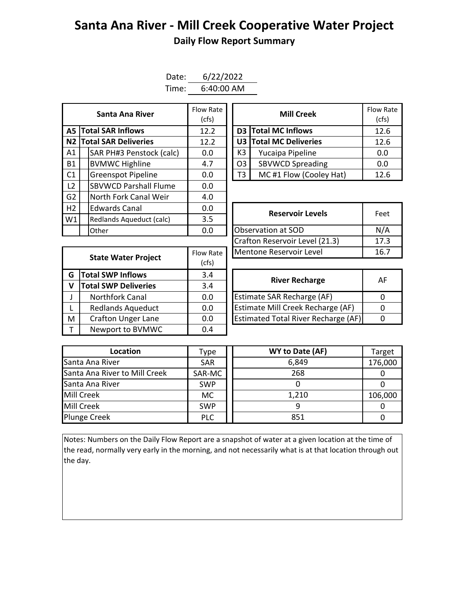## **Santa Ana River - Mill Creek Cooperative Water Project Daily Flow Report Summary**

| Date: | 6/22/2022  |
|-------|------------|
| Time: | 6:40:00 AM |

|                | Flow Rate<br>Santa Ana River<br>(cfs) |      | <b>Mill Creek</b>       |                |                               | Flow Ra<br>(cfs) |
|----------------|---------------------------------------|------|-------------------------|----------------|-------------------------------|------------------|
| A5 I           | <b>Total SAR Inflows</b>              | 12.2 |                         |                | D3 Total MC Inflows           | 12.6             |
|                | <b>N2 Total SAR Deliveries</b>        | 12.2 |                         |                | <b>U3 Total MC Deliveries</b> | 12.6             |
| A1             | SAR PH#3 Penstock (calc)              | 0.0  |                         | K3             | Yucaipa Pipeline              | 0.0              |
| <b>B1</b>      | <b>BVMWC Highline</b>                 | 4.7  |                         | O <sub>3</sub> | <b>SBVWCD Spreading</b>       | 0.0              |
| C1             | <b>Greenspot Pipeline</b>             | 0.0  |                         | T3             | MC#1 Flow (Cooley Hat)        | 12.6             |
| L2             | <b>SBVWCD Parshall Flume</b>          | 0.0  |                         |                |                               |                  |
| G <sub>2</sub> | North Fork Canal Weir                 | 4.0  |                         |                |                               |                  |
| H2             | <b>Edwards Canal</b>                  | 0.0  | <b>Reservoir Levels</b> |                | Feet                          |                  |
| W1             | Redlands Aqueduct (calc)              | 3.5  |                         |                |                               |                  |
|                | Other                                 | 0.0  | Observation at SOD      |                | N/A                           |                  |

| Santa Ana River         | Flow Rate<br>(cfs) | <b>Mill Creek</b> |                         | Flow Rate<br>(cfs) |
|-------------------------|--------------------|-------------------|-------------------------|--------------------|
| <b>I SAR Inflows</b>    | 12.2               |                   | D3 Total MC Inflows     | 12.6               |
| <b>I SAR Deliveries</b> | 12.2               |                   | U3 Total MC Deliveries  | 12.6               |
| AR PH#3 Penstock (calc) | 0.0                | K3                | Yucaipa Pipeline        | 0.0                |
| /MWC Highline           | 4.7                | O3                | <b>SBVWCD Spreading</b> | 0.0                |
| reenspot Pipeline       | 0.0                | T3                | MC#1 Flow (Cooley Hat)  | 12.6               |

|             |                             |           | (Crafton Reservoir Level (21.3)            | 17       |  |  |  |
|-------------|-----------------------------|-----------|--------------------------------------------|----------|--|--|--|
|             |                             | Flow Rate | Mentone Reservoir Level                    |          |  |  |  |
|             | <b>State Water Project</b>  | (cfs)     |                                            |          |  |  |  |
| G           | <b>Total SWP Inflows</b>    | 3.4       | <b>River Recharge</b>                      | A        |  |  |  |
| $\mathbf v$ | <b>Total SWP Deliveries</b> | 3.4       |                                            |          |  |  |  |
|             | Northfork Canal             | 0.0       | Estimate SAR Recharge (AF)                 | 0        |  |  |  |
|             | <b>Redlands Aqueduct</b>    | 0.0       | Estimate Mill Creek Recharge (AF)          | $\Omega$ |  |  |  |
| M           | <b>Crafton Unger Lane</b>   | 0.0       | <b>Estimated Total River Recharge (AF)</b> | 0        |  |  |  |
|             | Newport to BVMWC            | 0.4       |                                            |          |  |  |  |

| Edwards Canal              | 0.0       | <b>Reservoir Levels</b>        | Feet |
|----------------------------|-----------|--------------------------------|------|
| Redlands Aqueduct (calc)   | 3.5       |                                |      |
| Other                      | 0.0       | Observation at SOD             | N/A  |
|                            |           | Crafton Reservoir Level (21.3) | 17.3 |
|                            | Flow Rate | Mentone Reservoir Level        | 16.7 |
| <b>State Water Project</b> |           |                                |      |

| <b>River Recharge</b>                      | ΑF |
|--------------------------------------------|----|
| <b>Estimate SAR Recharge (AF)</b>          |    |
| <b>Estimate Mill Creek Recharge (AF)</b>   |    |
| <b>Estimated Total River Recharge (AF)</b> |    |

| Location                      | Type       | WY to Date (AF) | Target  |
|-------------------------------|------------|-----------------|---------|
| Santa Ana River               | <b>SAR</b> | 6,849           | 176,000 |
| Santa Ana River to Mill Creek | SAR-MC     | 268             |         |
| Santa Ana River               | <b>SWP</b> |                 |         |
| Mill Creek                    | МC         | 1,210           | 106,000 |
| Mill Creek                    | <b>SWP</b> |                 |         |
| <b>Plunge Creek</b>           | <b>PLC</b> | 851             |         |

Notes: Numbers on the Daily Flow Report are a snapshot of water at a given location at the time of the read, normally very early in the morning, and not necessarily what is at that location through out the day.